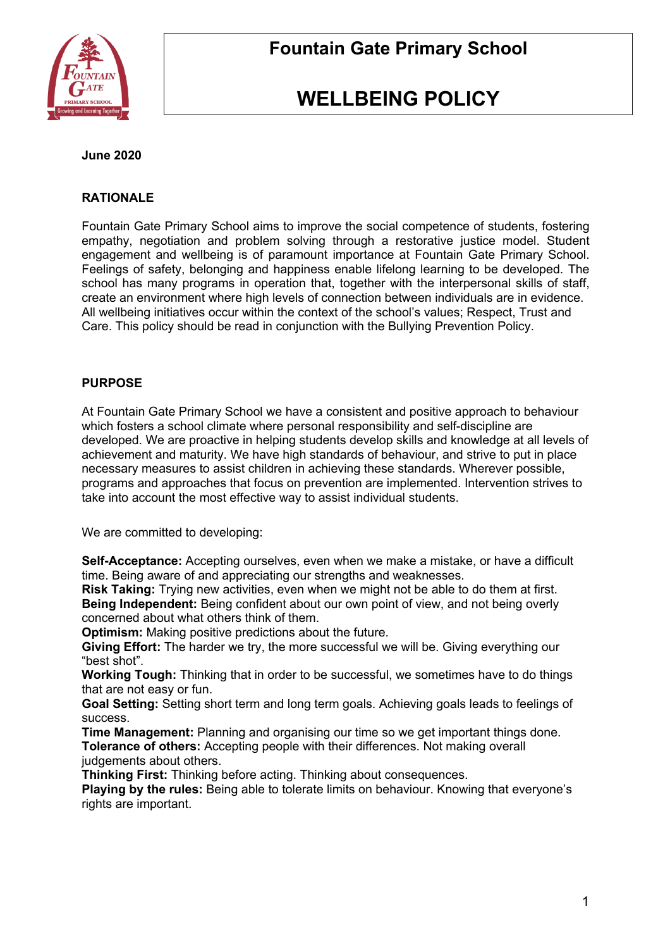

# **WELLBEING POLICY**

### **June 2020**

## **RATIONALE**

Fountain Gate Primary School aims to improve the social competence of students, fostering empathy, negotiation and problem solving through a restorative justice model. Student engagement and wellbeing is of paramount importance at Fountain Gate Primary School. Feelings of safety, belonging and happiness enable lifelong learning to be developed. The school has many programs in operation that, together with the interpersonal skills of staff, create an environment where high levels of connection between individuals are in evidence. All wellbeing initiatives occur within the context of the school's values; Respect, Trust and Care. This policy should be read in conjunction with the Bullying Prevention Policy.

## **PURPOSE**

At Fountain Gate Primary School we have a consistent and positive approach to behaviour which fosters a school climate where personal responsibility and self-discipline are developed. We are proactive in helping students develop skills and knowledge at all levels of achievement and maturity. We have high standards of behaviour, and strive to put in place necessary measures to assist children in achieving these standards. Wherever possible, programs and approaches that focus on prevention are implemented. Intervention strives to take into account the most effective way to assist individual students.

We are committed to developing:

**Self-Acceptance:** Accepting ourselves, even when we make a mistake, or have a difficult time. Being aware of and appreciating our strengths and weaknesses.

**Risk Taking:** Trying new activities, even when we might not be able to do them at first. **Being Independent:** Being confident about our own point of view, and not being overly concerned about what others think of them.

**Optimism:** Making positive predictions about the future.

**Giving Effort:** The harder we try, the more successful we will be. Giving everything our "best shot".

**Working Tough:** Thinking that in order to be successful, we sometimes have to do things that are not easy or fun.

**Goal Setting:** Setting short term and long term goals. Achieving goals leads to feelings of success.

**Time Management:** Planning and organising our time so we get important things done. **Tolerance of others:** Accepting people with their differences. Not making overall judgements about others.

**Thinking First:** Thinking before acting. Thinking about consequences.

**Playing by the rules:** Being able to tolerate limits on behaviour. Knowing that everyone's rights are important.